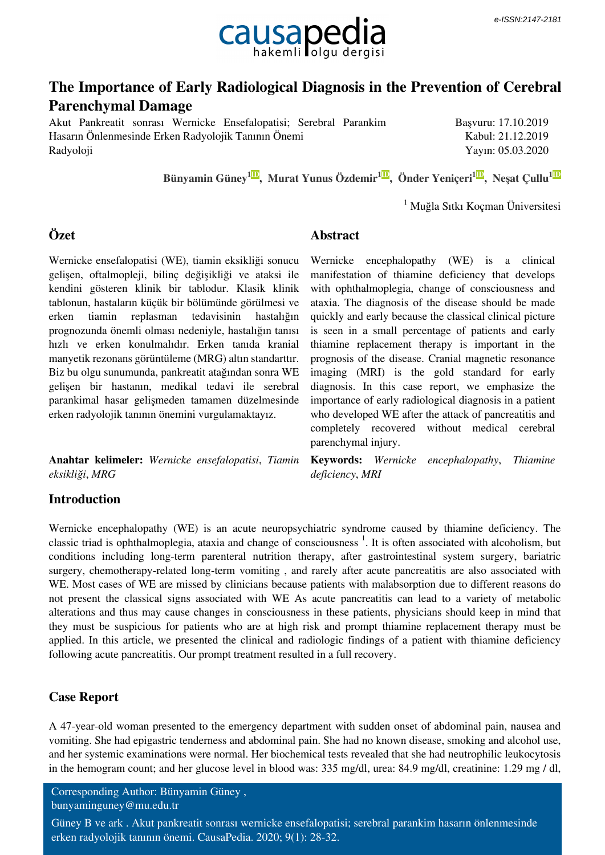

# **The Importance of Early Radiological Diagnosis in the Prevention of Cerebral Parenchymal Damage**

Akut Pankreatit sonrası Wernicke Ensefalopatisi; Serebral Parankim Hasarın Önlenmesinde Erken Radyolojik Tanının Önemi Radyoloji

Başvuru: 17.10.2019 Kabul: 21.12.2019 Yayın: 05.03.2020

 **[Bünyamin Güney](http://orcid.org/0002-0853-4184-0000)[1ID](http://orcid.org/0002-0853-4184-0000) [,](http://orcid.org/0002-0853-4184-0000) [Murat Yunus Özdemir](http://orcid.org/0002-7192-5110-0000)[1ID](http://orcid.org/0002-7192-5110-0000) [,](http://orcid.org/0002-7192-5110-0000) [Önder Yeniçeri](http://orcid.org/0000-0003-2779-2020)[1ID](http://orcid.org/0000-0003-2779-2020) [,](http://orcid.org/0000-0003-2779-2020) [Neşat Çullu](http://orcid.org/0000-0002-5045-3919)[1ID](http://orcid.org/0000-0002-5045-3919)**

parenchymal injury.

**Abstract**

1 Muğla Sıtkı Koçman Üniversitesi

## **Özet**

Wernicke ensefalopatisi (WE), tiamin eksikliği sonucu gelişen, oftalmopleji, bilinç değişikliği ve ataksi ile kendini gösteren klinik bir tablodur. Klasik klinik tablonun, hastaların küçük bir bölümünde görülmesi ve erken tiamin replasman tedavisinin hastalığın prognozunda önemli olması nedeniyle, hastalığın tanısı hızlı ve erken konulmalıdır. Erken tanıda kranial manyetik rezonans görüntüleme (MRG) altın standarttır. Biz bu olgu sunumunda, pankreatit atağından sonra WE gelişen bir hastanın, medikal tedavi ile serebral parankimal hasar gelişmeden tamamen düzelmesinde erken radyolojik tanının önemini vurgulamaktayız.

**Anahtar kelimeler:** *Wernicke ensefalopatisi*, *Tiamin eksikliği*, *MRG*

**Keywords:** *Wernicke encephalopathy*, *Thiamine deficiency*, *MRI*

Wernicke encephalopathy (WE) is a clinical manifestation of thiamine deficiency that develops with ophthalmoplegia, change of consciousness and ataxia. The diagnosis of the disease should be made quickly and early because the classical clinical picture is seen in a small percentage of patients and early thiamine replacement therapy is important in the prognosis of the disease. Cranial magnetic resonance imaging (MRI) is the gold standard for early diagnosis. In this case report, we emphasize the importance of early radiological diagnosis in a patient who developed WE after the attack of pancreatitis and completely recovered without medical cerebral

### **Introduction**

Wernicke encephalopathy (WE) is an acute neuropsychiatric syndrome caused by thiamine deficiency. The classic triad is ophthalmoplegia, ataxia and change of consciousness<sup>1</sup>. It is often associated with alcoholism, but conditions including long-term parenteral nutrition therapy, after gastrointestinal system surgery, bariatric surgery, chemotherapy-related long-term vomiting , and rarely after acute pancreatitis are also associated with WE. Most cases of WE are missed by clinicians because patients with malabsorption due to different reasons do not present the classical signs associated with WE As acute pancreatitis can lead to a variety of metabolic alterations and thus may cause changes in consciousness in these patients, physicians should keep in mind that they must be suspicious for patients who are at high risk and prompt thiamine replacement therapy must be applied. In this article, we presented the clinical and radiologic findings of a patient with thiamine deficiency following acute pancreatitis. Our prompt treatment resulted in a full recovery.

### **Case Report**

A 47-year-old woman presented to the emergency department with sudden onset of abdominal pain, nausea and vomiting. She had epigastric tenderness and abdominal pain. She had no known disease, smoking and alcohol use, and her systemic examinations were normal. Her biochemical tests revealed that she had neutrophilic leukocytosis in the hemogram count; and her glucose level in blood was: 335 mg/dl, urea: 84.9 mg/dl, creatinine: 1.29 mg / dl,

Corresponding Author: Bünyamin Güney , bunyaminguney@mu.edu.tr

Güney B ve ark . Akut pankreatit sonrası wernicke ensefalopatisi; serebral parankim hasarın önlenmesinde erken radyolojik tanının önemi. CausaPedia. 2020; 9(1): 28-32.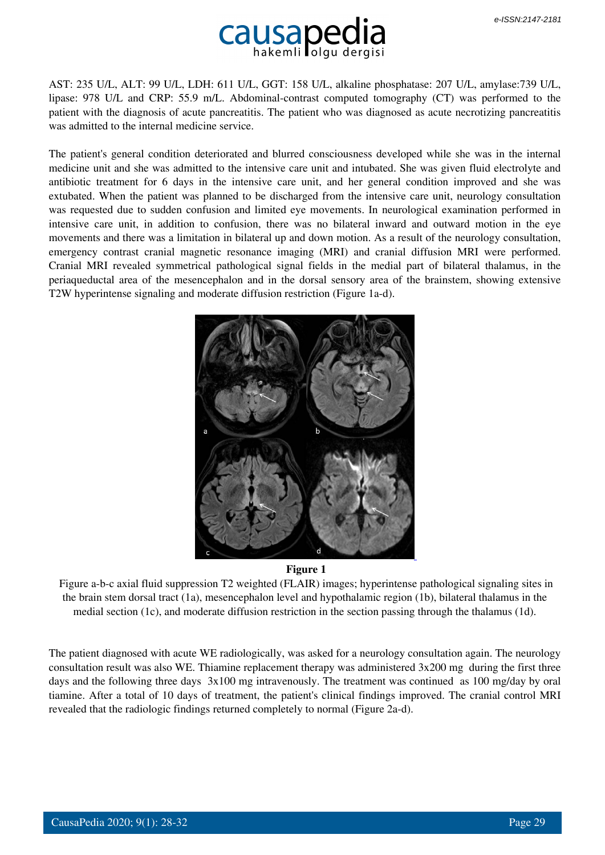

AST: 235 U/L, ALT: 99 U/L, LDH: 611 U/L, GGT: 158 U/L, alkaline phosphatase: 207 U/L, amylase:739 U/L, lipase: 978 U/L and CRP: 55.9 m/L. Abdominal-contrast computed tomography (CT) was performed to the patient with the diagnosis of acute pancreatitis. The patient who was diagnosed as acute necrotizing pancreatitis was admitted to the internal medicine service.

The patient's general condition deteriorated and blurred consciousness developed while she was in the internal medicine unit and she was admitted to the intensive care unit and intubated. She was given fluid electrolyte and antibiotic treatment for 6 days in the intensive care unit, and her general condition improved and she was extubated. When the patient was planned to be discharged from the intensive care unit, neurology consultation was requested due to sudden confusion and limited eye movements. In neurological examination performed in intensive care unit, in addition to confusion, there was no bilateral inward and outward motion in the eye movements and there was a limitation in bilateral up and down motion. As a result of the neurology consultation, emergency contrast cranial magnetic resonance imaging (MRI) and cranial diffusion MRI were performed. Cranial MRI revealed symmetrical pathological signal fields in the medial part of bilateral thalamus, in the periaqueductal area of the mesencephalon and in the dorsal sensory area of the brainstem, showing extensive T2W hyperintense signaling and moderate diffusion restriction (Figure 1a-d).





 Figure a-b-c axial fluid suppression T2 weighted (FLAIR) images; hyperintense pathological signaling sites in the brain stem dorsal tract (1a), mesencephalon level and hypothalamic region (1b), bilateral thalamus in the medial section (1c), and moderate diffusion restriction in the section passing through the thalamus (1d).

The patient diagnosed with acute WE radiologically, was asked for a neurology consultation again. The neurology consultation result was also WE. Thiamine replacement therapy was administered 3x200 mg during the first three days and the following three days 3x100 mg intravenously. The treatment was continued as 100 mg/day by oral tiamine. After a total of 10 days of treatment, the patient's clinical findings improved. The cranial control MRI revealed that the radiologic findings returned completely to normal (Figure 2a-d).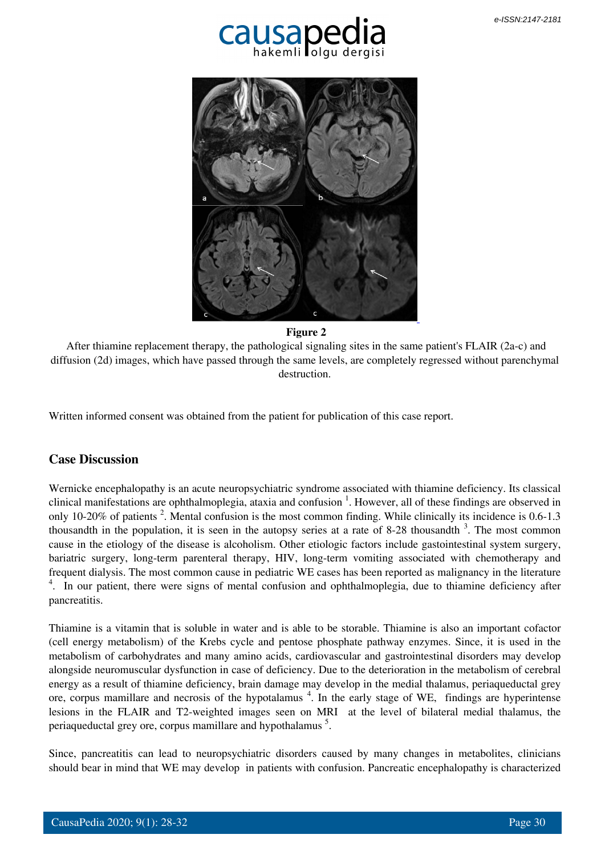



 **Figure 2**

 After thiamine replacement therapy, the pathological signaling sites in the same patient's FLAIR (2a-c) and diffusion (2d) images, which have passed through the same levels, are completely regressed without parenchymal destruction.

Written informed consent was obtained from the patient for publication of this case report.

### **Case Discussion**

Wernicke encephalopathy is an acute neuropsychiatric syndrome associated with thiamine deficiency. Its classical clinical manifestations are ophthalmoplegia, ataxia and confusion <sup>1</sup>. However, all of these findings are observed in only 10-20% of patients<sup>2</sup>. Mental confusion is the most common finding. While clinically its incidence is 0.6-1.3 thousandth in the population, it is seen in the autopsy series at a rate of 8-28 thousandth  $3$ . The most common cause in the etiology of the disease is alcoholism. Other etiologic factors include gastointestinal system surgery, bariatric surgery, long-term parenteral therapy, HIV, long-term vomiting associated with chemotherapy and frequent dialysis. The most common cause in pediatric WE cases has been reported as malignancy in the literature <sup>4</sup>. In our patient, there were signs of mental confusion and ophthalmoplegia, due to thiamine deficiency after pancreatitis.

Thiamine is a vitamin that is soluble in water and is able to be storable. Thiamine is also an important cofactor (cell energy metabolism) of the Krebs cycle and pentose phosphate pathway enzymes. Since, it is used in the metabolism of carbohydrates and many amino acids, cardiovascular and gastrointestinal disorders may develop alongside neuromuscular dysfunction in case of deficiency. Due to the deterioration in the metabolism of cerebral energy as a result of thiamine deficiency, brain damage may develop in the medial thalamus, periaqueductal grey ore, corpus mamillare and necrosis of the hypotalamus<sup>4</sup>. In the early stage of WE, findings are hyperintense lesions in the FLAIR and T2-weighted images seen on MRI at the level of bilateral medial thalamus, the periaqueductal grey ore, corpus mamillare and hypothalamus<sup>5</sup>.

Since, pancreatitis can lead to neuropsychiatric disorders caused by many changes in metabolites, clinicians should bear in mind that WE may develop in patients with confusion. Pancreatic encephalopathy is characterized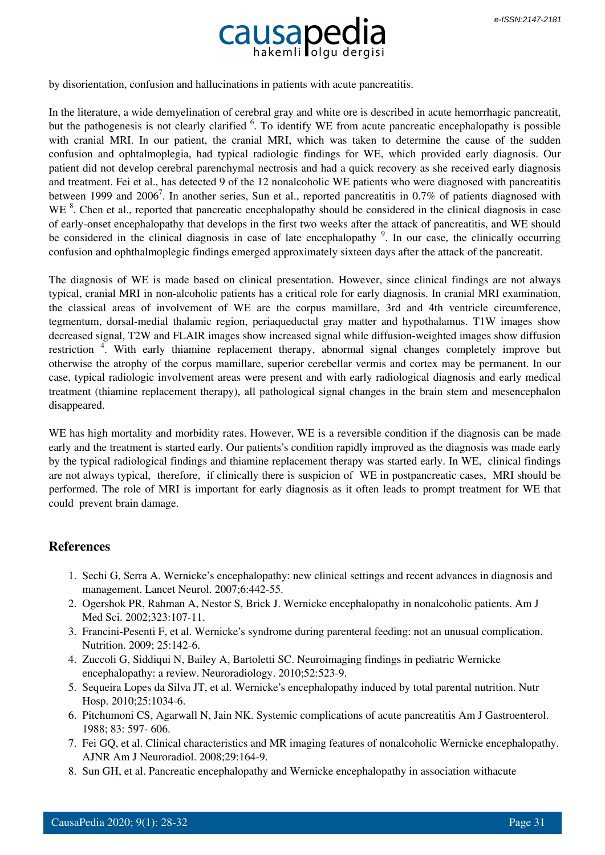

by disorientation, confusion and hallucinations in patients with acute pancreatitis.

In the literature, a wide demyelination of cerebral gray and white ore is described in acute hemorrhagic pancreatit, but the pathogenesis is not clearly clarified <sup>6</sup>. To identify WE from acute pancreatic encephalopathy is possible with cranial MRI. In our patient, the cranial MRI, which was taken to determine the cause of the sudden confusion and ophtalmoplegia, had typical radiologic findings for WE, which provided early diagnosis. Our patient did not develop cerebral parenchymal nectrosis and had a quick recovery as she received early diagnosis and treatment. Fei et al., has detected 9 of the 12 nonalcoholic WE patients who were diagnosed with pancreatitis between 1999 and 2006<sup>7</sup>. In another series, Sun et al., reported pancreatitis in 0.7% of patients diagnosed with WE <sup>8</sup>. Chen et al., reported that pancreatic encephalopathy should be considered in the clinical diagnosis in case of early-onset encephalopathy that develops in the first two weeks after the attack of pancreatitis, and WE should be considered in the clinical diagnosis in case of late encephalopathy <sup>9</sup>. In our case, the clinically occurring confusion and ophthalmoplegic findings emerged approximately sixteen days after the attack of the pancreatit.

The diagnosis of WE is made based on clinical presentation. However, since clinical findings are not always typical, cranial MRI in non-alcoholic patients has a critical role for early diagnosis. In cranial MRI examination, the classical areas of involvement of WE are the corpus mamillare, 3rd and 4th ventricle circumference, tegmentum, dorsal-medial thalamic region, periaqueductal gray matter and hypothalamus. T1W images show decreased signal, T2W and FLAIR images show increased signal while diffusion-weighted images show diffusion restriction<sup>4</sup>. With early thiamine replacement therapy, abnormal signal changes completely improve but otherwise the atrophy of the corpus mamillare, superior cerebellar vermis and cortex may be permanent. In our case, typical radiologic involvement areas were present and with early radiological diagnosis and early medical treatment (thiamine replacement therapy), all pathological signal changes in the brain stem and mesencephalon disappeared.

WE has high mortality and morbidity rates. However, WE is a reversible condition if the diagnosis can be made early and the treatment is started early. Our patients's condition rapidly improved as the diagnosis was made early by the typical radiological findings and thiamine replacement therapy was started early. In WE, clinical findings are not always typical, therefore, if clinically there is suspicion of WE in postpancreatic cases, MRI should be performed. The role of MRI is important for early diagnosis as it often leads to prompt treatment for WE that could prevent brain damage.

#### **References**

- 1. Sechi G, Serra A. Wernicke's encephalopathy: new clinical settings and recent advances in diagnosis and management. Lancet Neurol. 2007;6:442-55.
- 2. Ogershok PR, Rahman A, Nestor S, Brick J. Wernicke encephalopathy in nonalcoholic patients. Am J Med Sci. 2002;323:107-11.
- 3. Francini-Pesenti F, et al. Wernicke's syndrome during parenteral feeding: not an unusual complication. Nutrition. 2009; 25:142-6.
- 4. Zuccoli G, Siddiqui N, Bailey A, Bartoletti SC. Neuroimaging findings in pediatric Wernicke encephalopathy: a review. Neuroradiology. 2010;52:523-9.
- 5. Sequeira Lopes da Silva JT, et al. Wernicke's encephalopathy induced by total parental nutrition. Nutr Hosp. 2010;25:1034-6.
- 6. Pitchumoni CS, Agarwall N, Jain NK. Systemic complications of acute pancreatitis Am J Gastroenterol. 1988; 83: 597- 606.
- 7. Fei GQ, et al. Clinical characteristics and MR imaging features of nonalcoholic Wernicke encephalopathy. AJNR Am J Neuroradiol. 2008;29:164-9.
- 8. Sun GH, et al. Pancreatic encephalopathy and Wernicke encephalopathy in association withacute